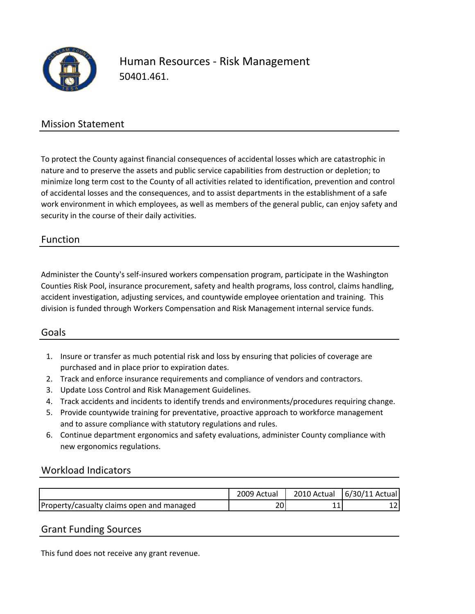

## Human Resources ‐ Risk Management 50401.461.

### Mission Statement

To protect the County against financial consequences of accidental losses which are catastrophic in nature and to preserve the assets and public service capabilities from destruction or depletion; to minimize long term cost to the County of all activities related to identification, prevention and control of accidental losses and the consequences, and to assist departments in the establishment of a safe work environment in which employees, as well as members of the general public, can enjoy safety and security in the course of their daily activities.

#### Function

Administer the County's self‐insured workers compensation program, participate in the Washington Counties Risk Pool, insurance procurement, safety and health programs, loss control, claims handling, accident investigation, adjusting services, and countywide employee orientation and training. This division is funded through Workers Compensation and Risk Management internal service funds.

#### Goals

- 1. Insure or transfer as much potential risk and loss by ensuring that policies of coverage are purchased and in place prior to expiration dates.
- 2. Track and enforce insurance requirements and compliance of vendors and contractors.
- 3. Update Loss Control and Risk Management Guidelines.
- 4. Track accidents and incidents to identify trends and environments/procedures requiring change.
- 5. Provide countywide training for preventative, proactive approach to workforce management and to assure compliance with statutory regulations and rules.
- 6. Continue department ergonomics and safety evaluations, administer County compliance with new ergonomics regulations.

#### Workload Indicators

|                                           | 2009 Actual | 2010 Actual | $6/30/11$ Actual |
|-------------------------------------------|-------------|-------------|------------------|
| Property/casualty claims open and managed |             |             | --               |

#### Grant Funding Sources

This fund does not receive any grant revenue.